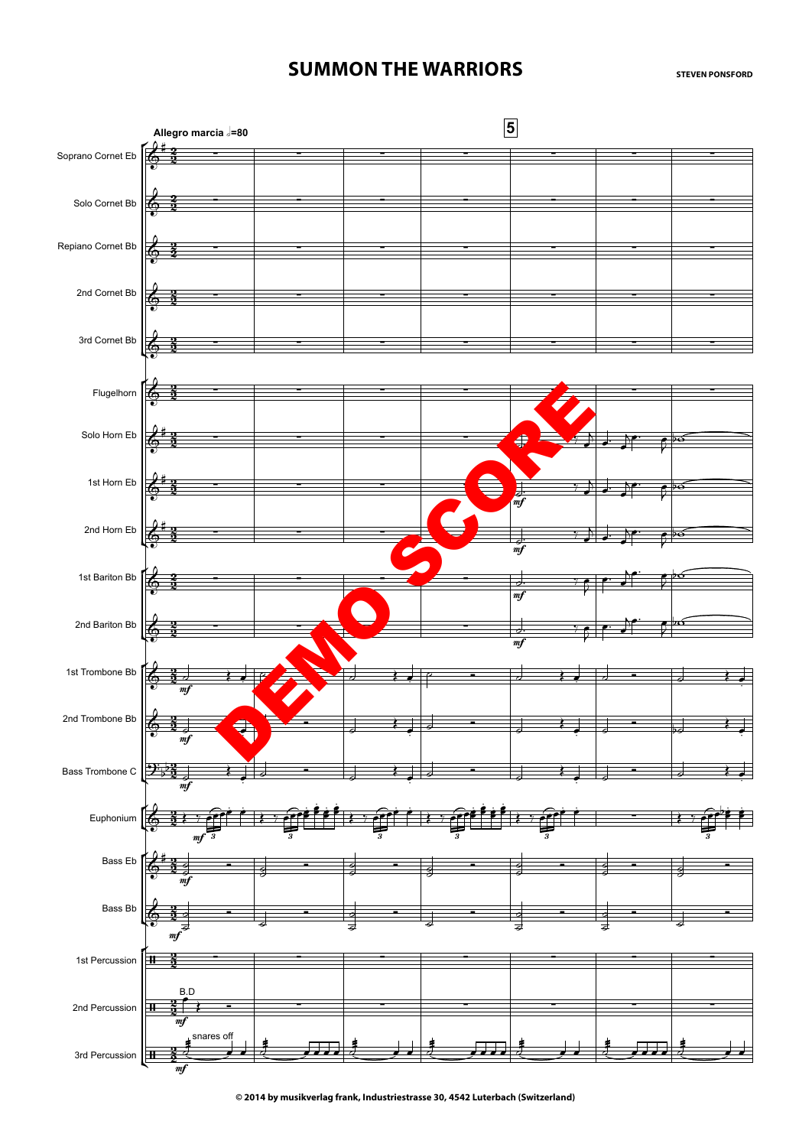## **SUMMON THE WARRIORS STEVEN PONSFORD**

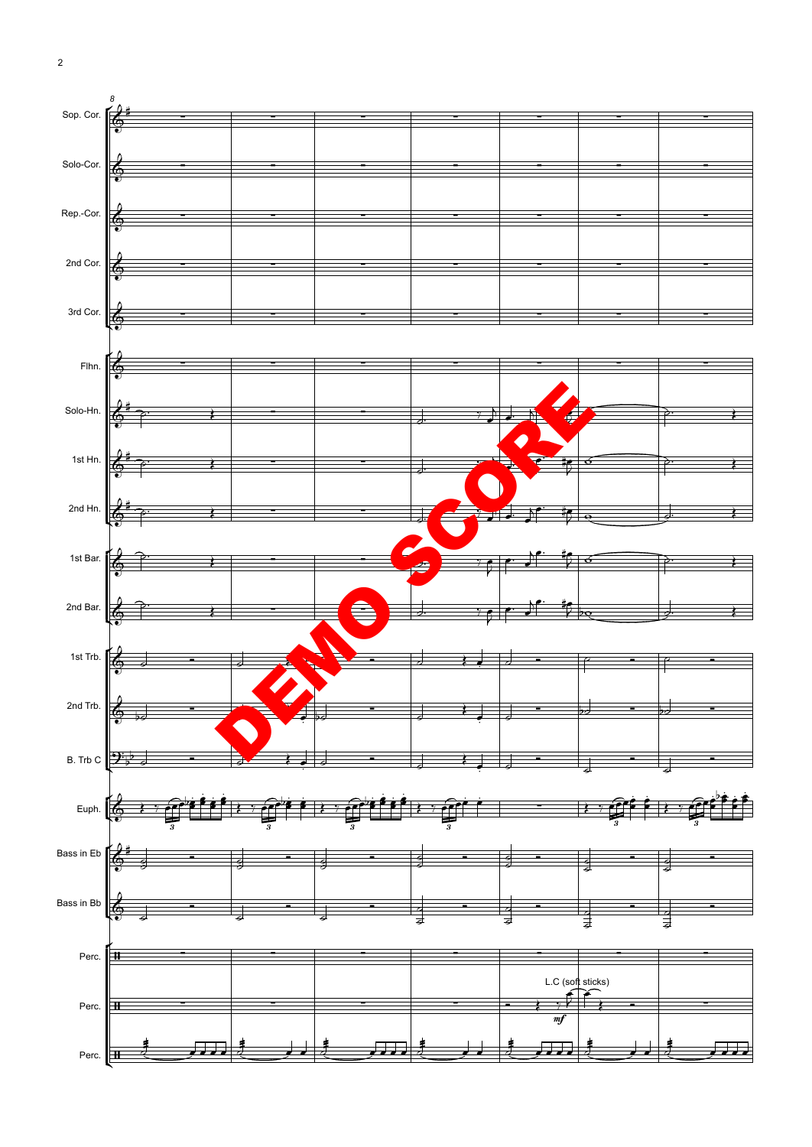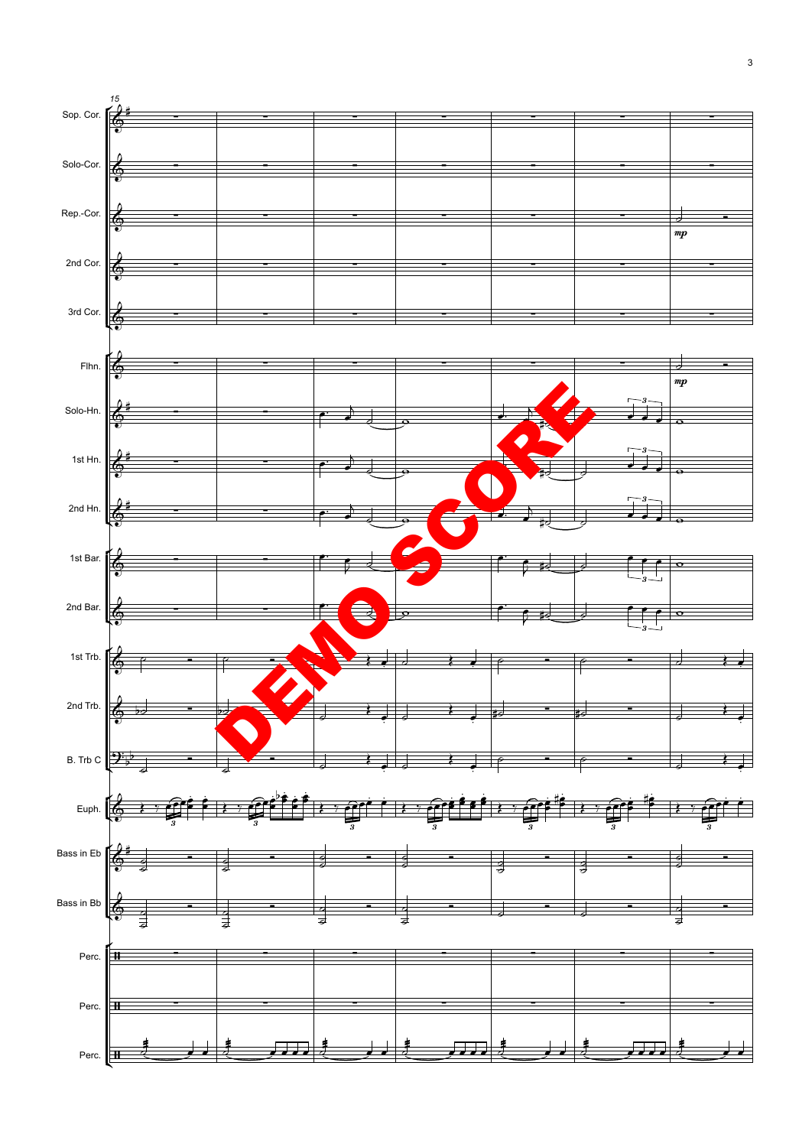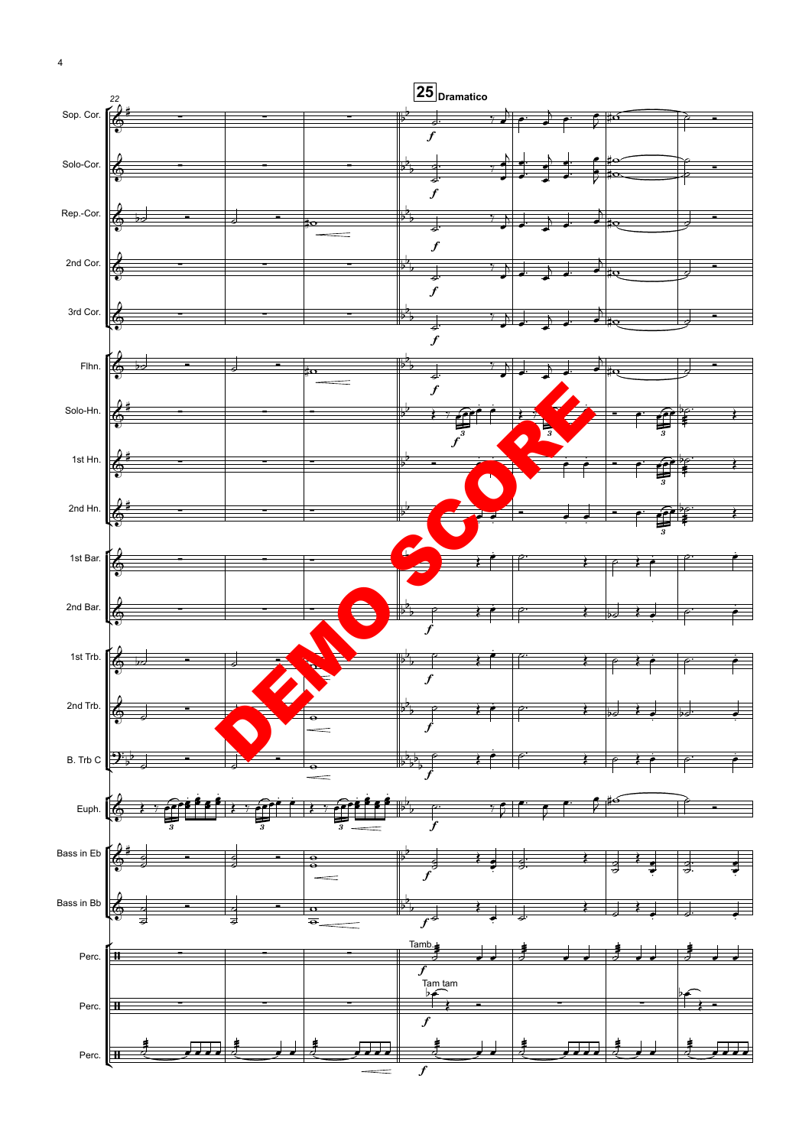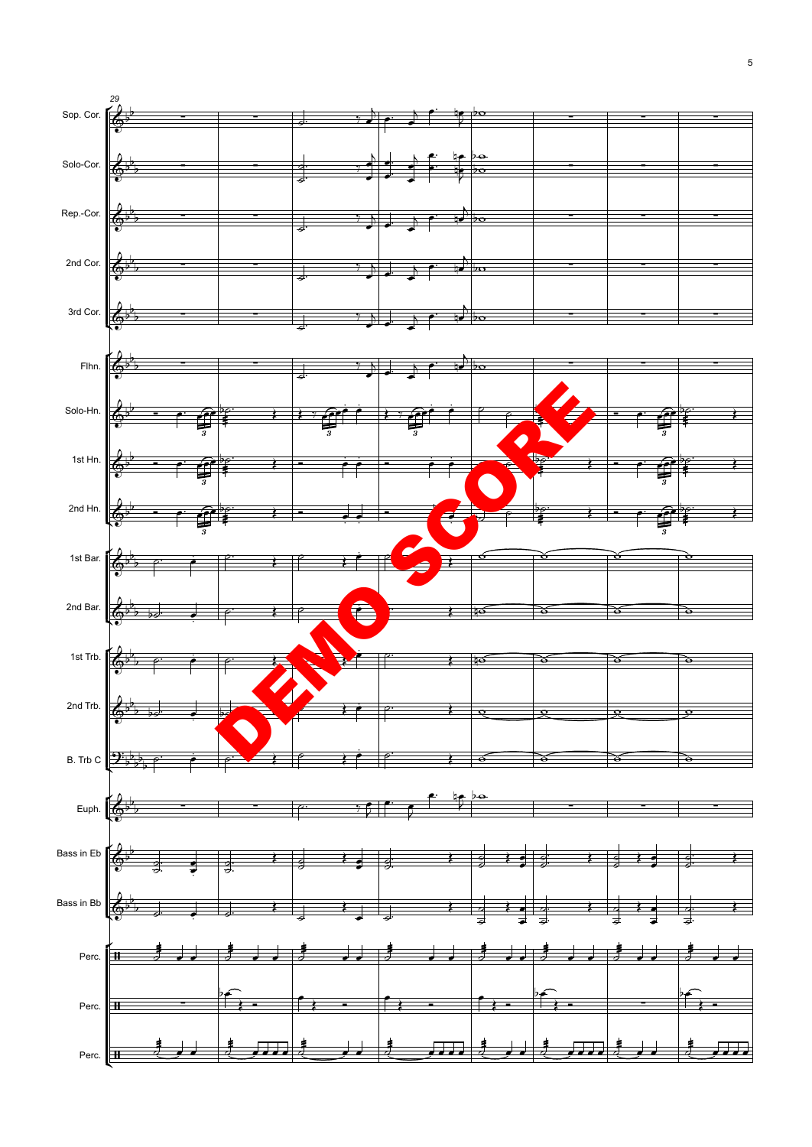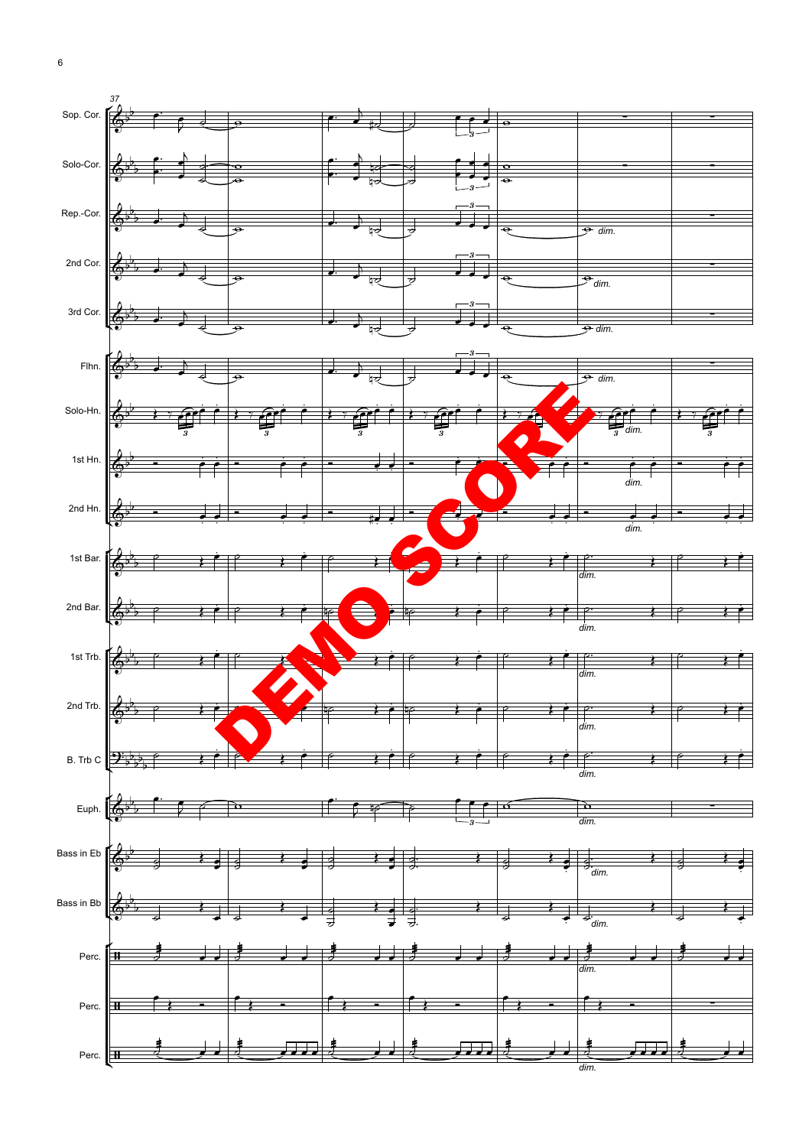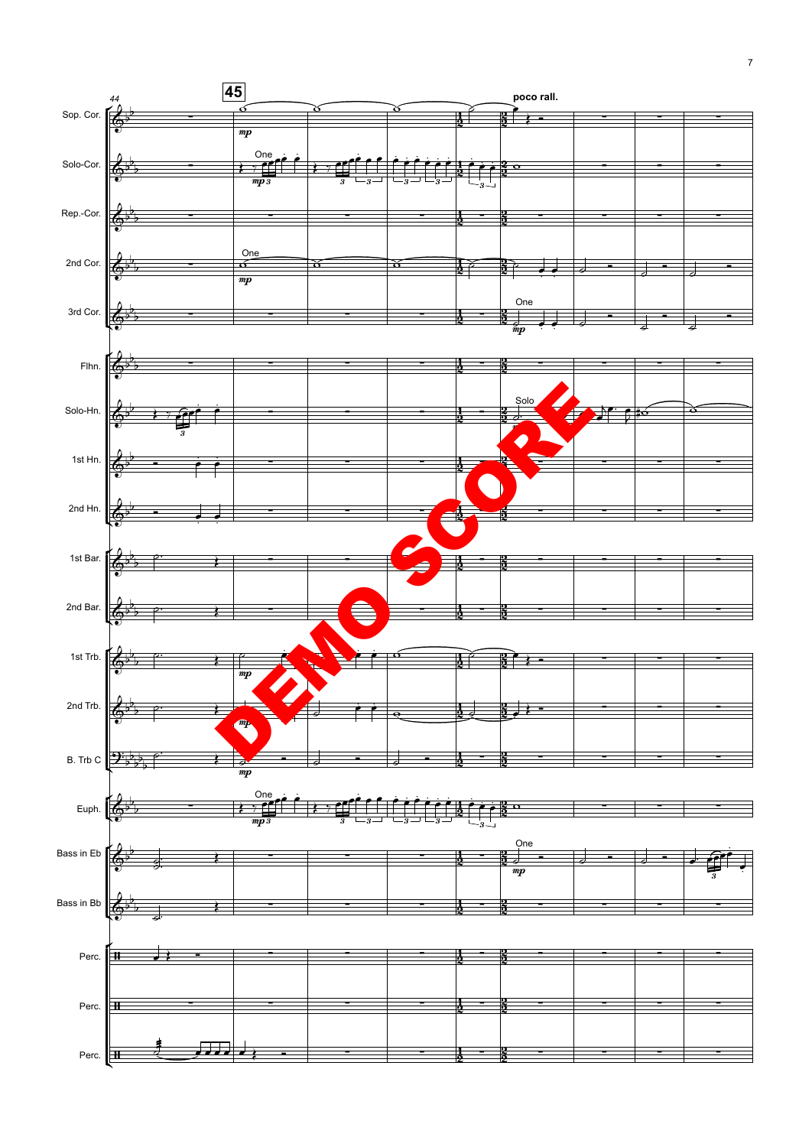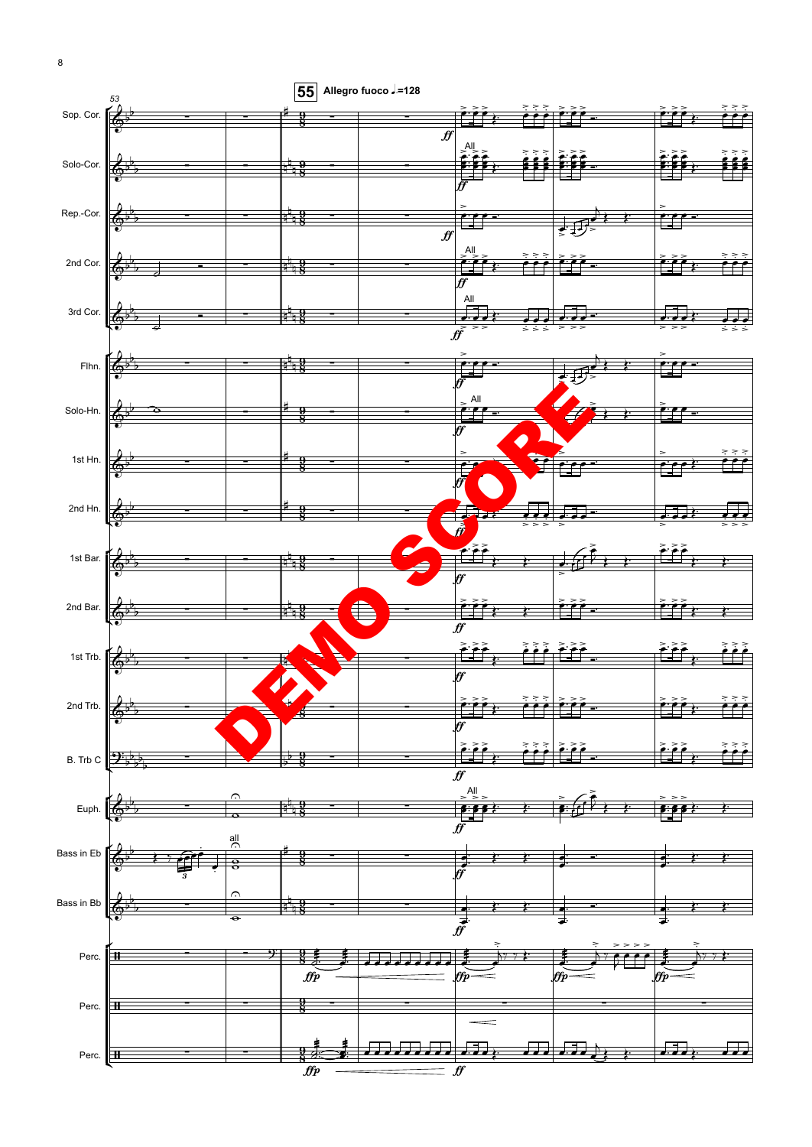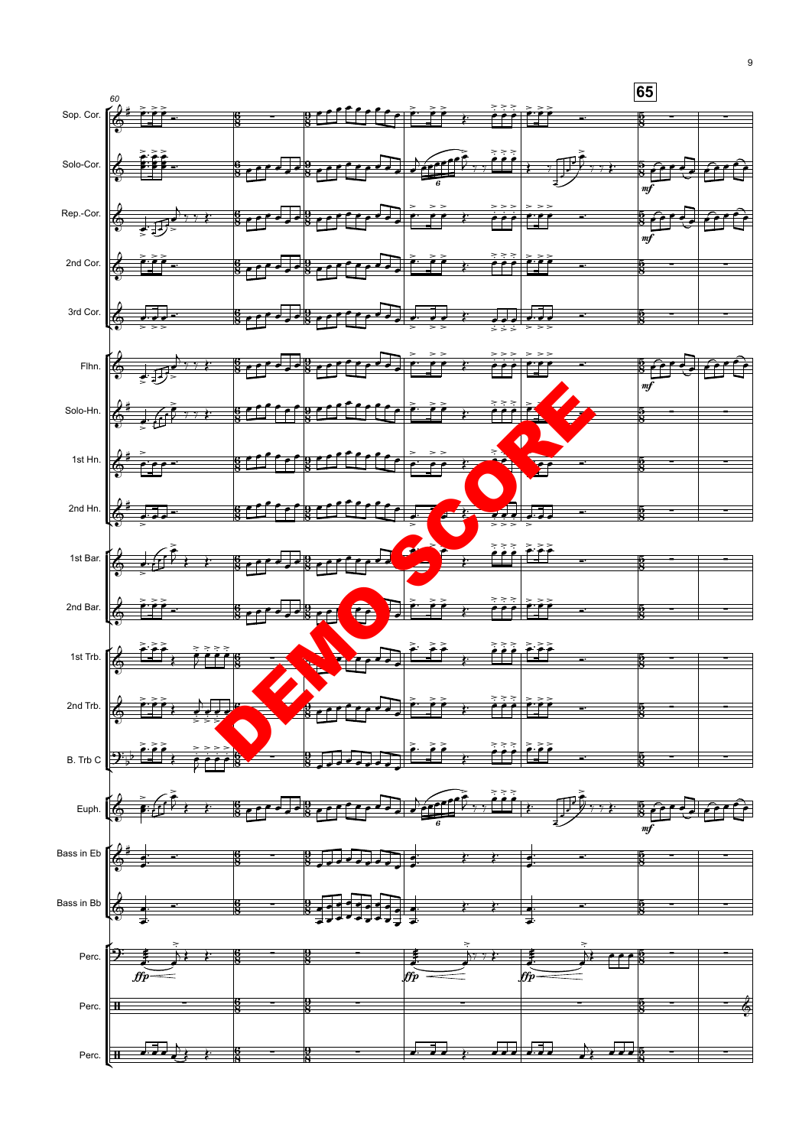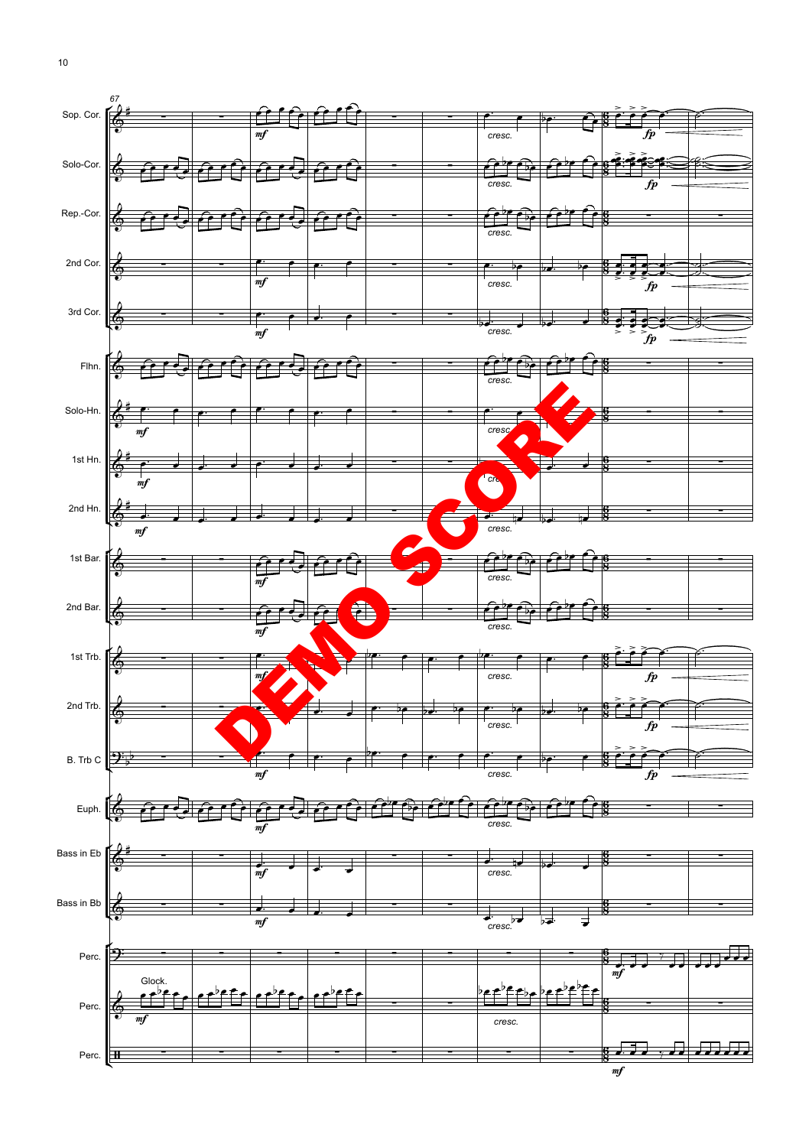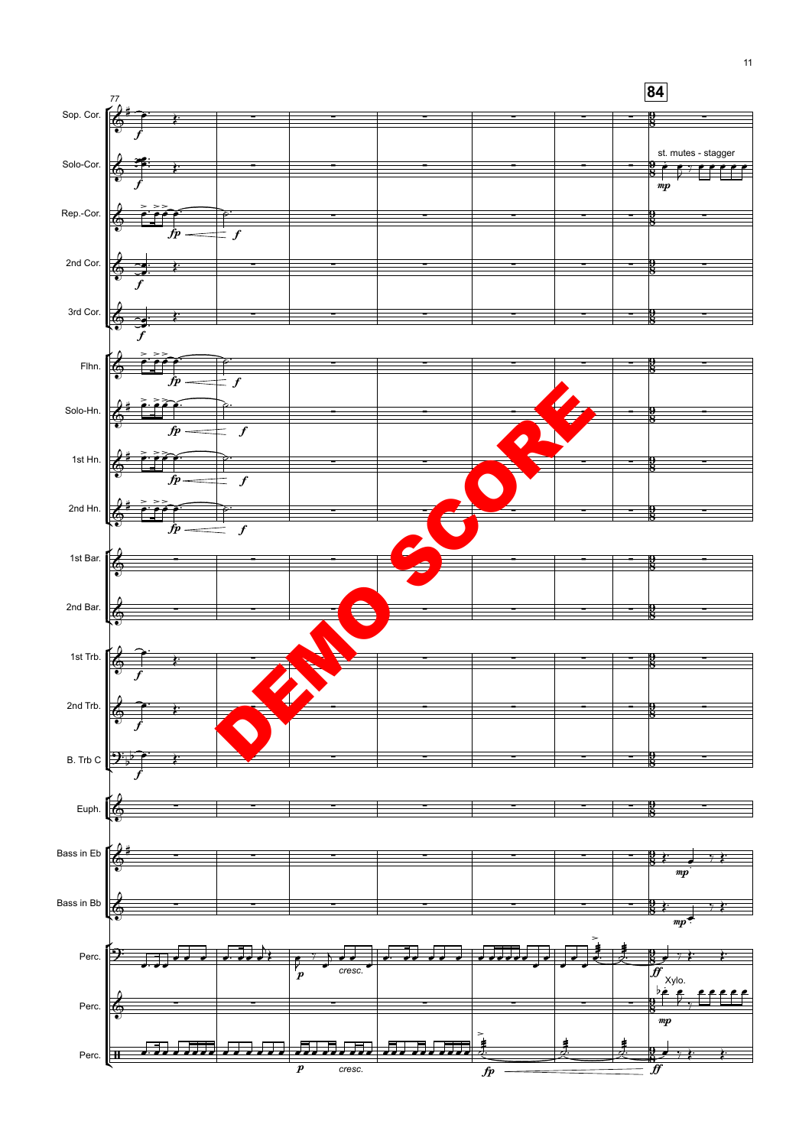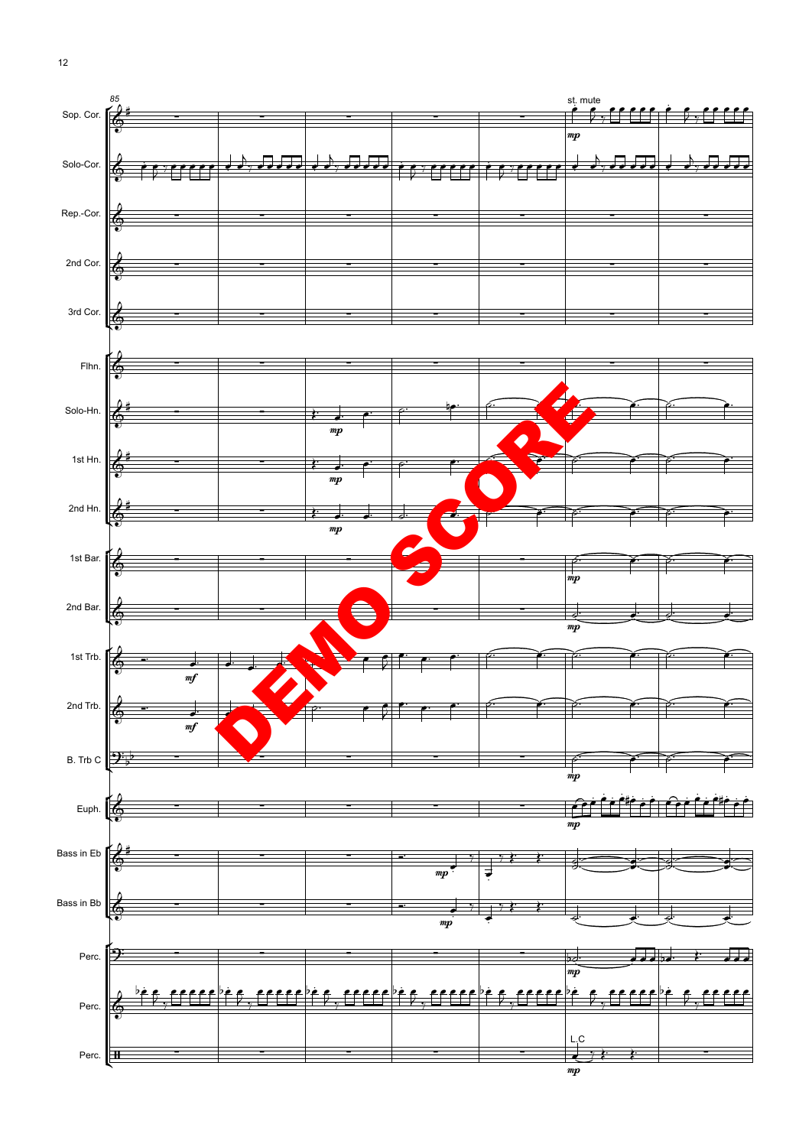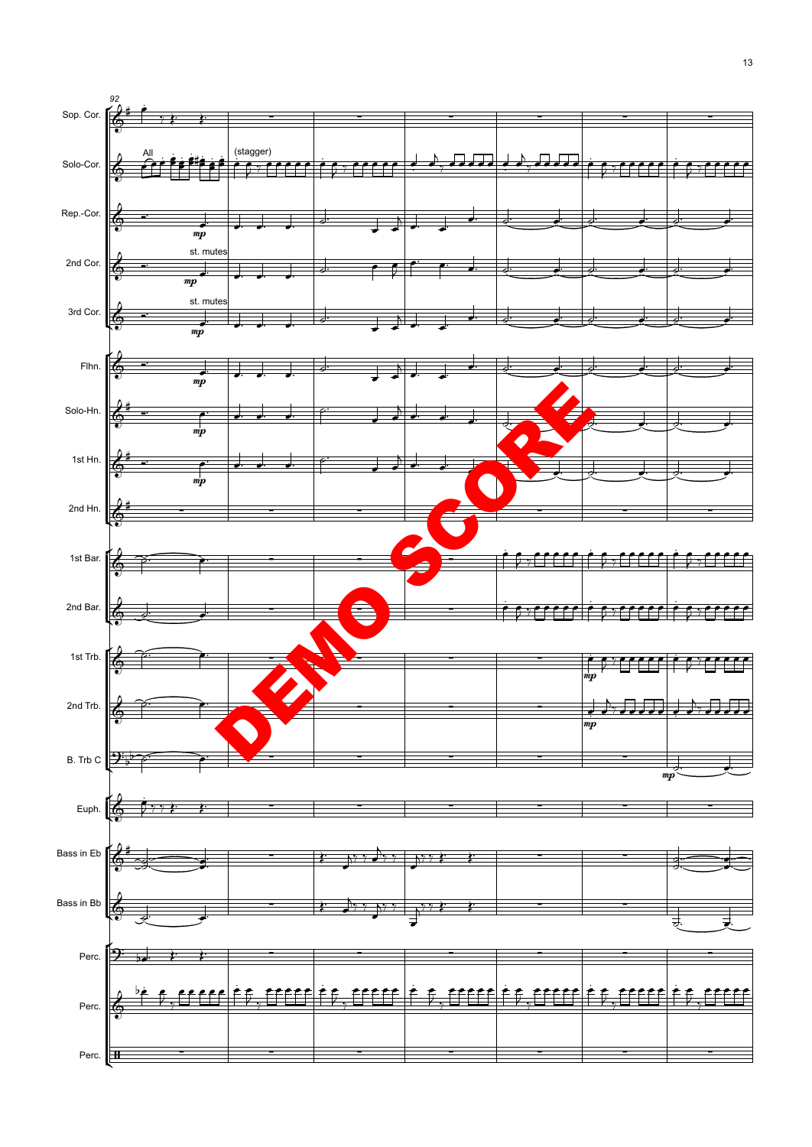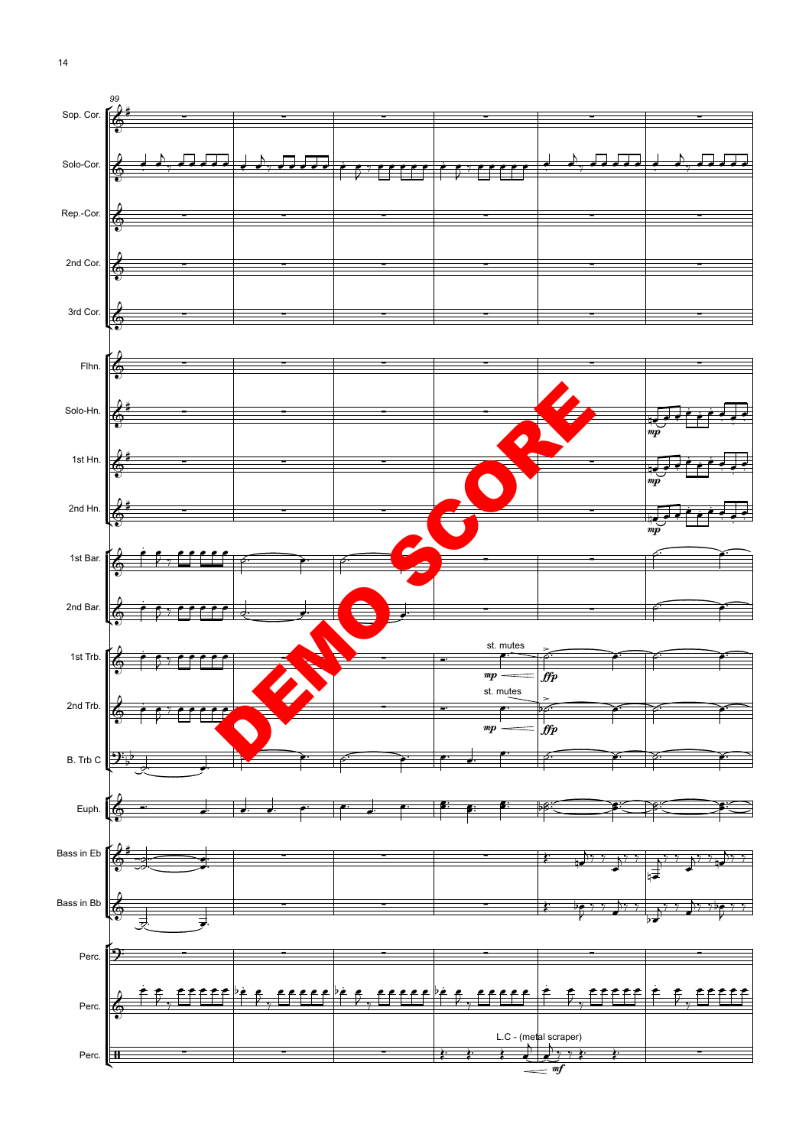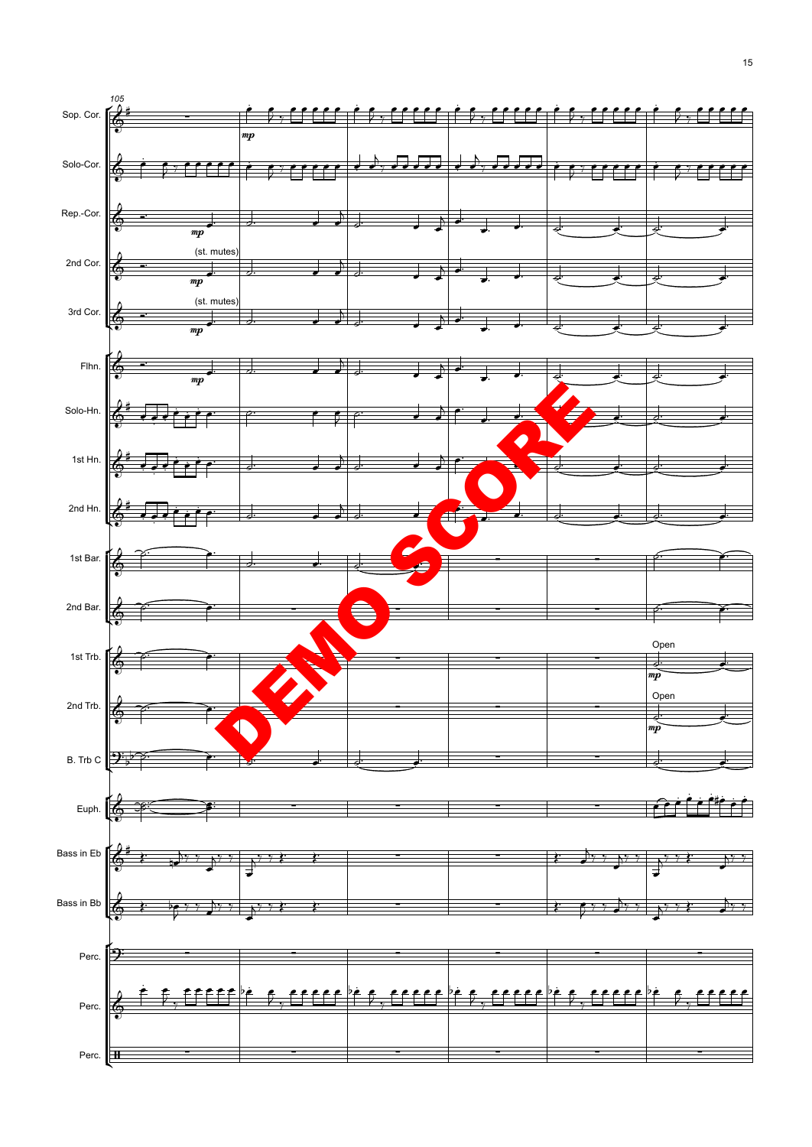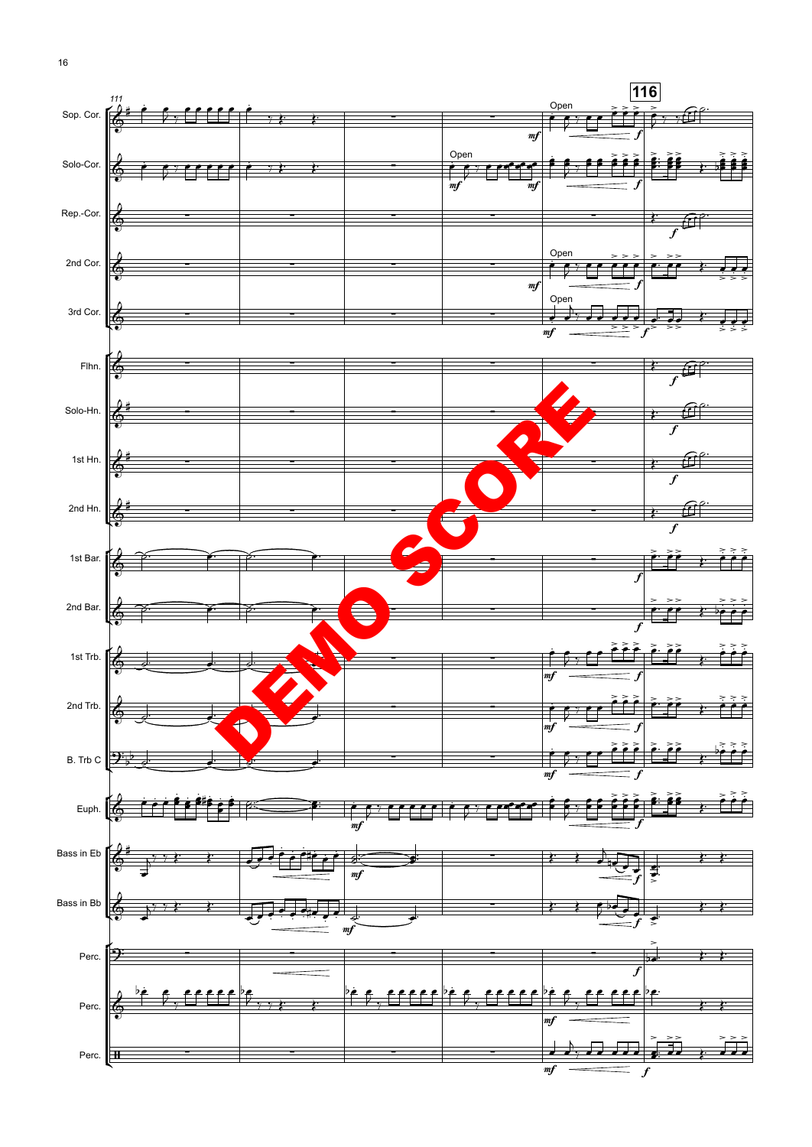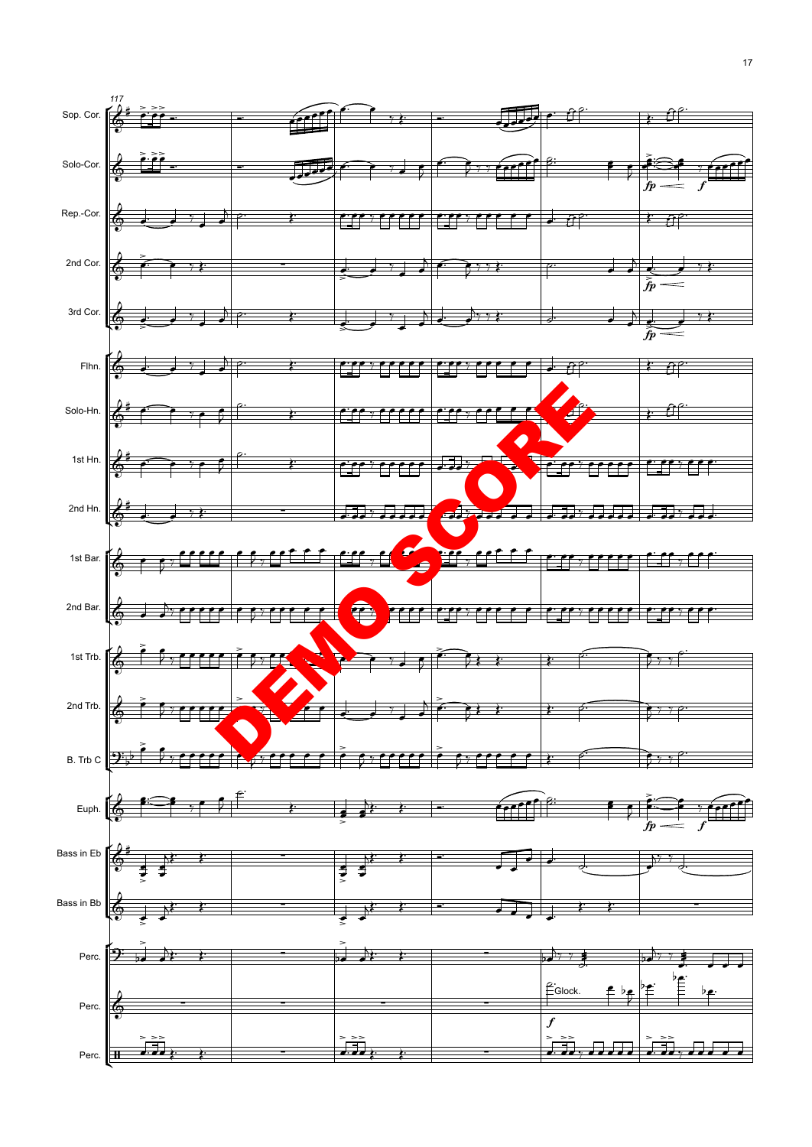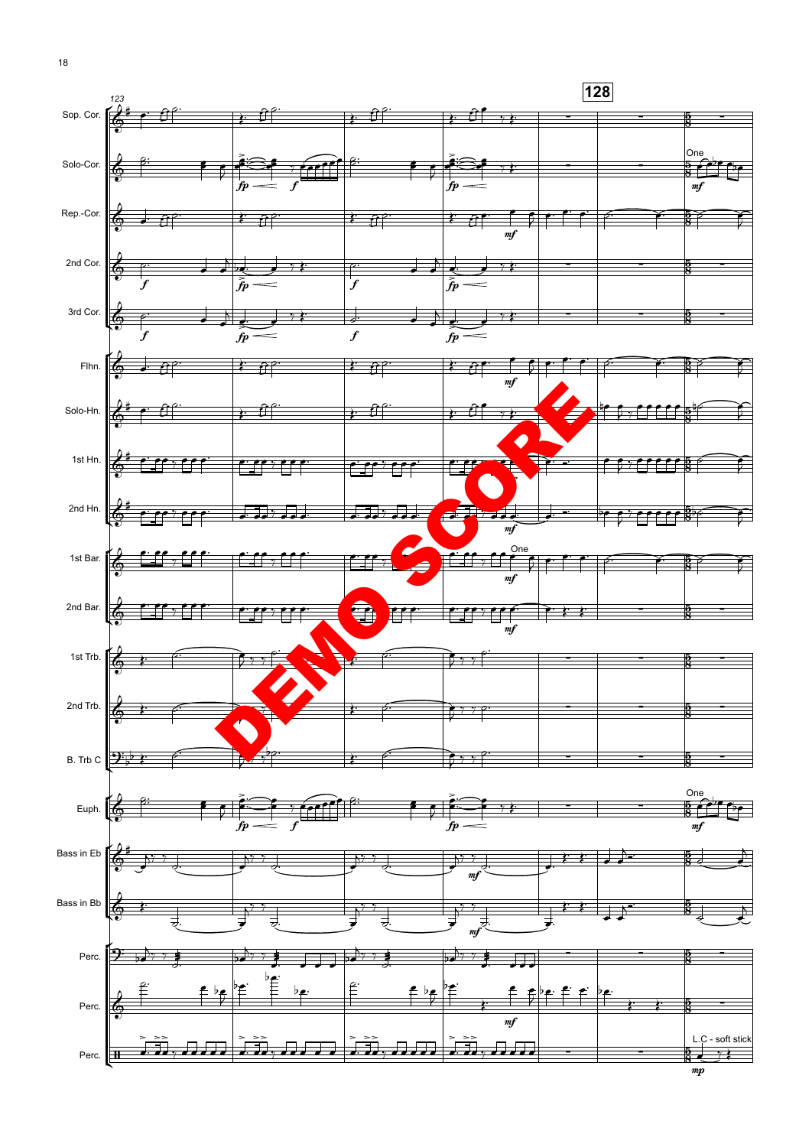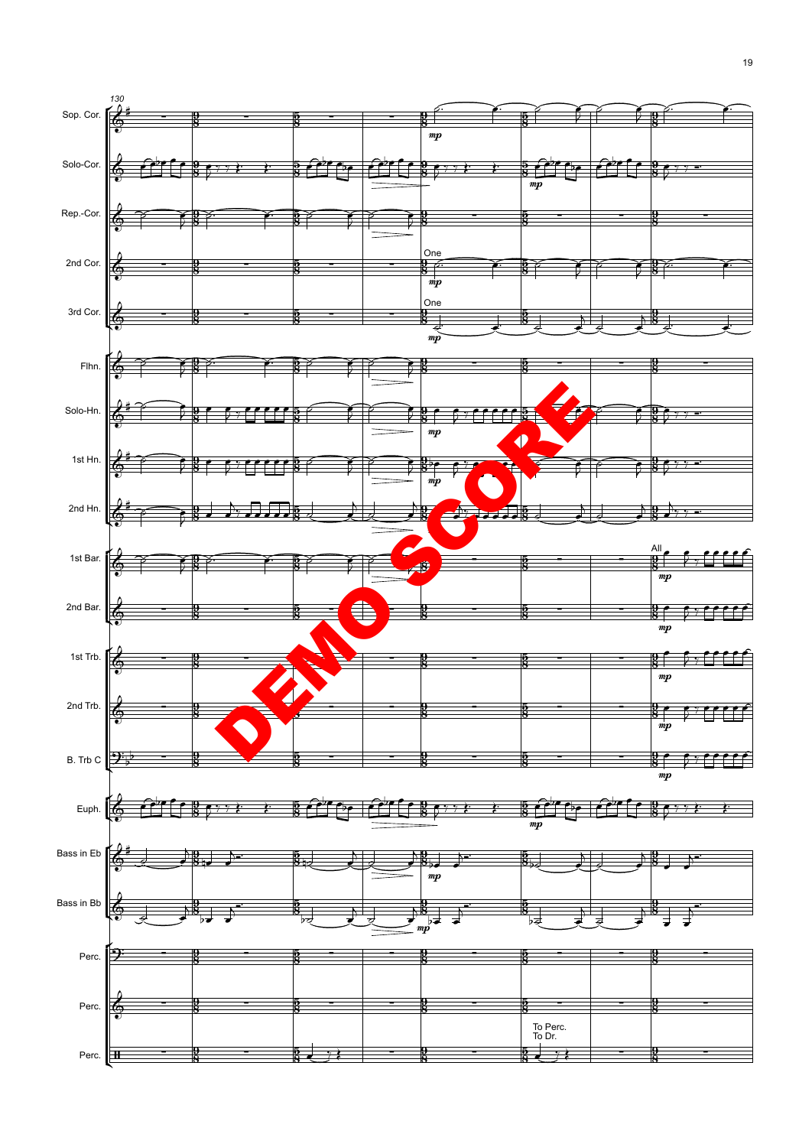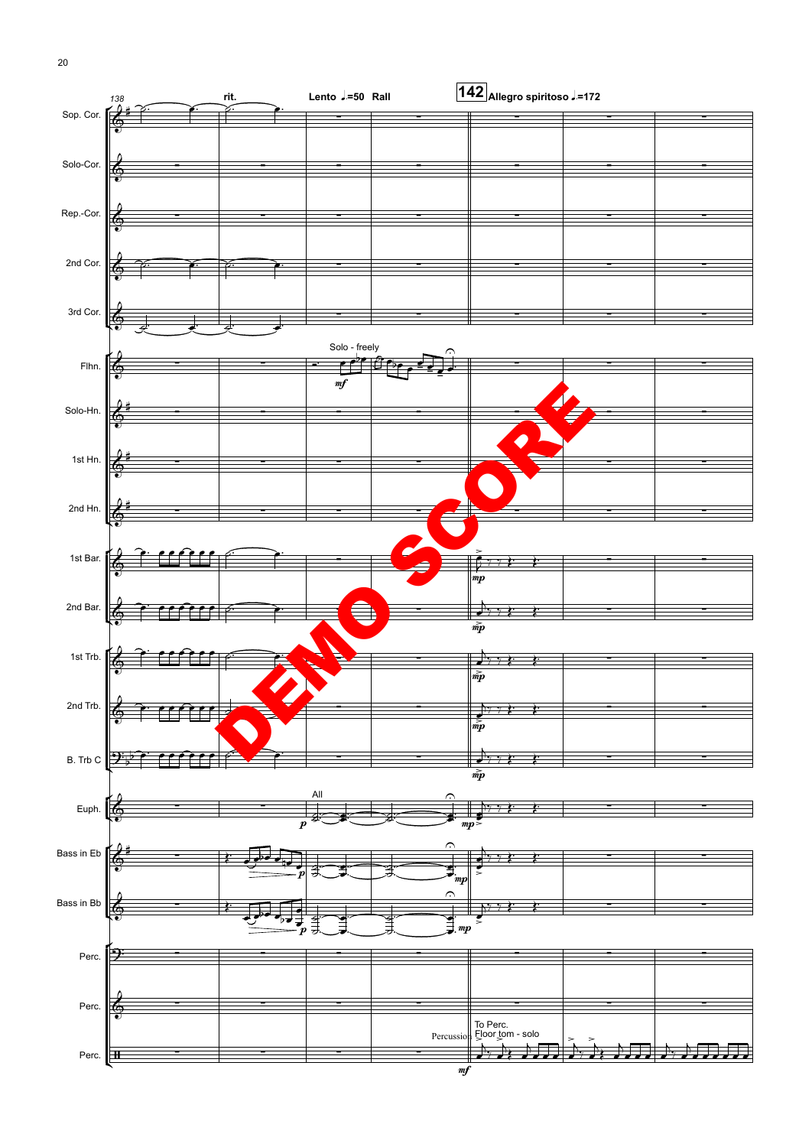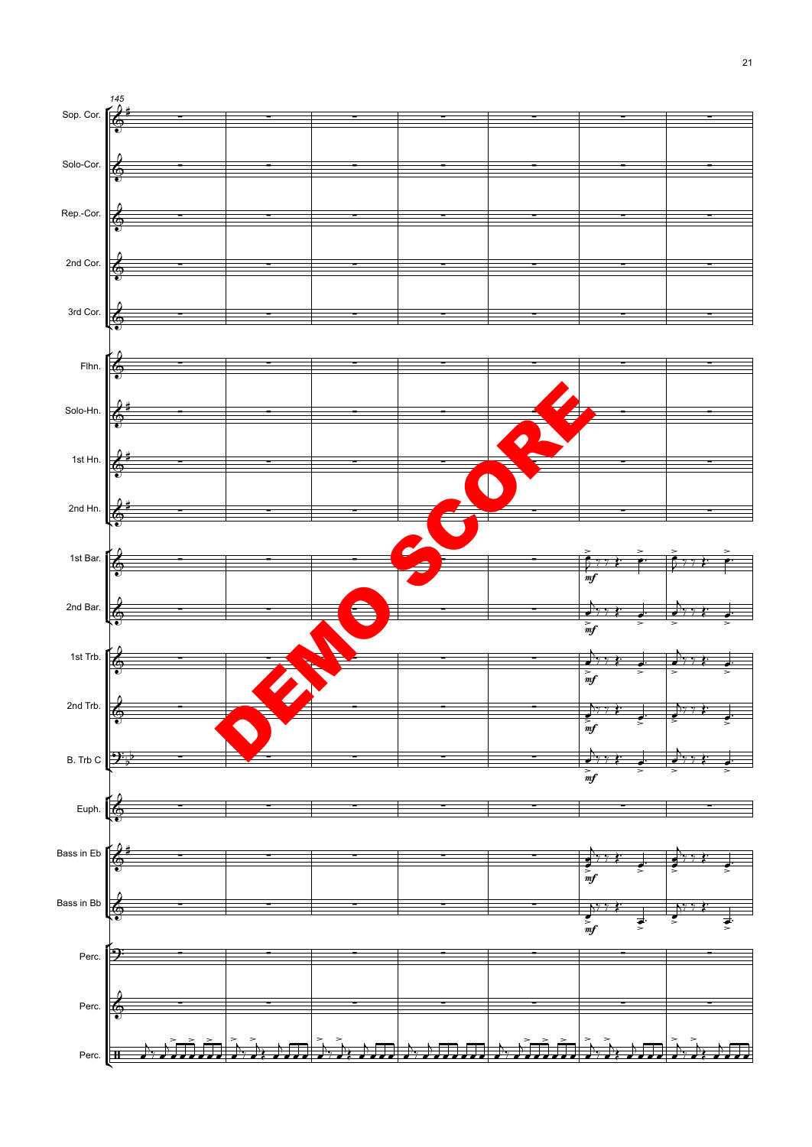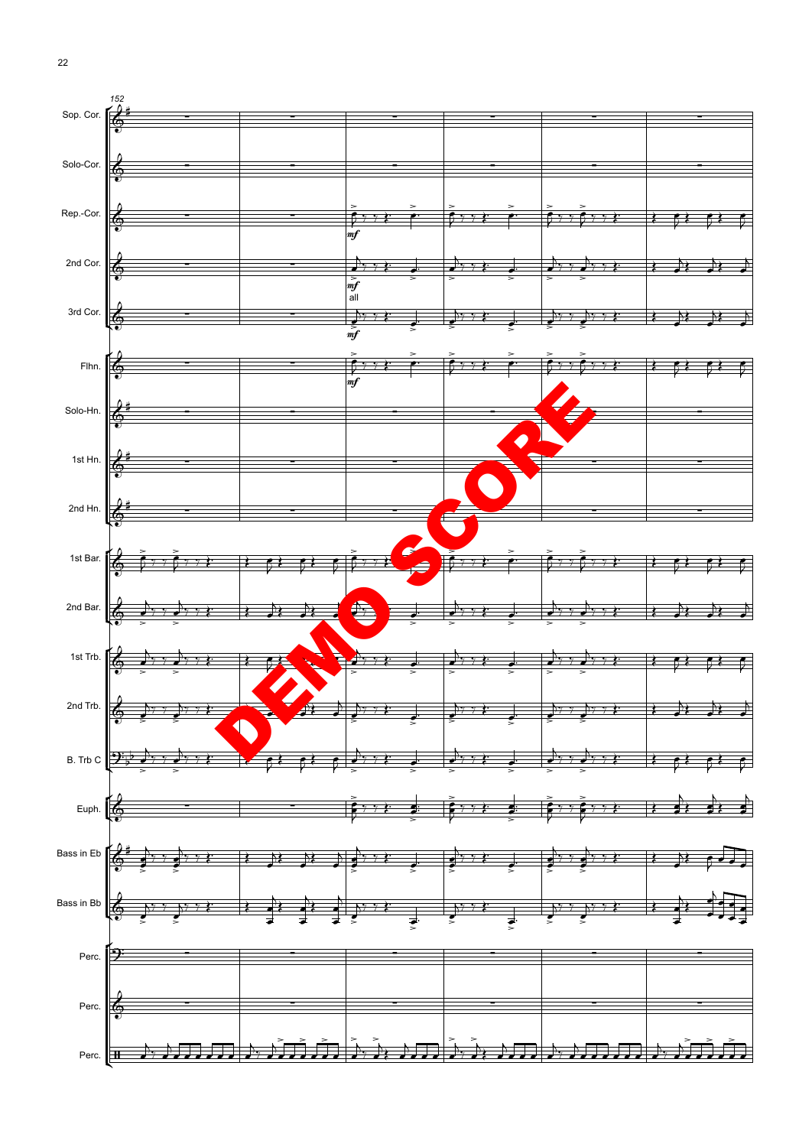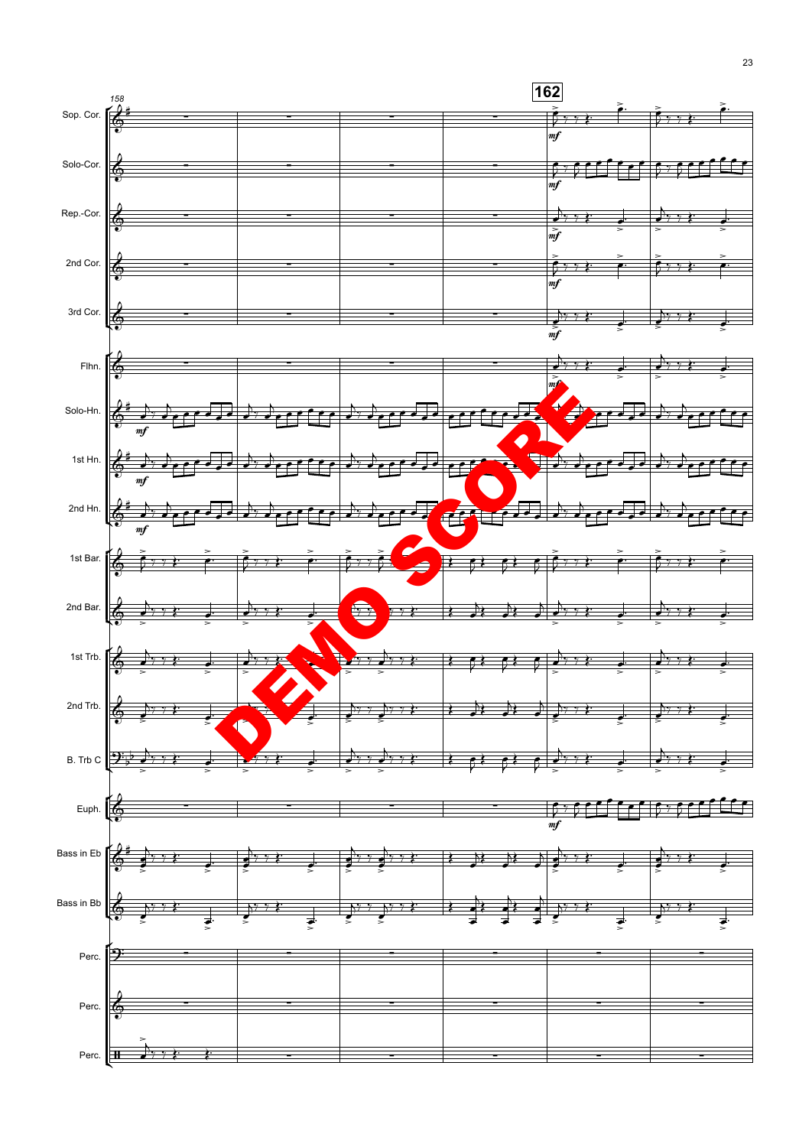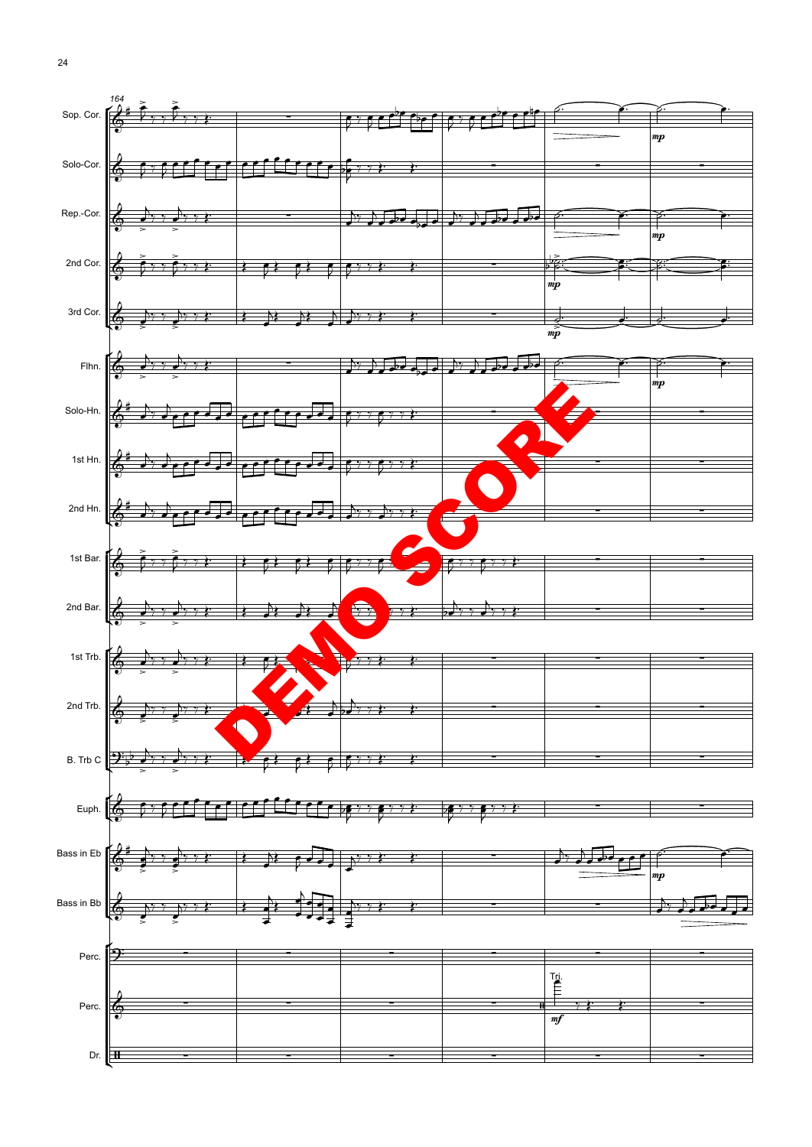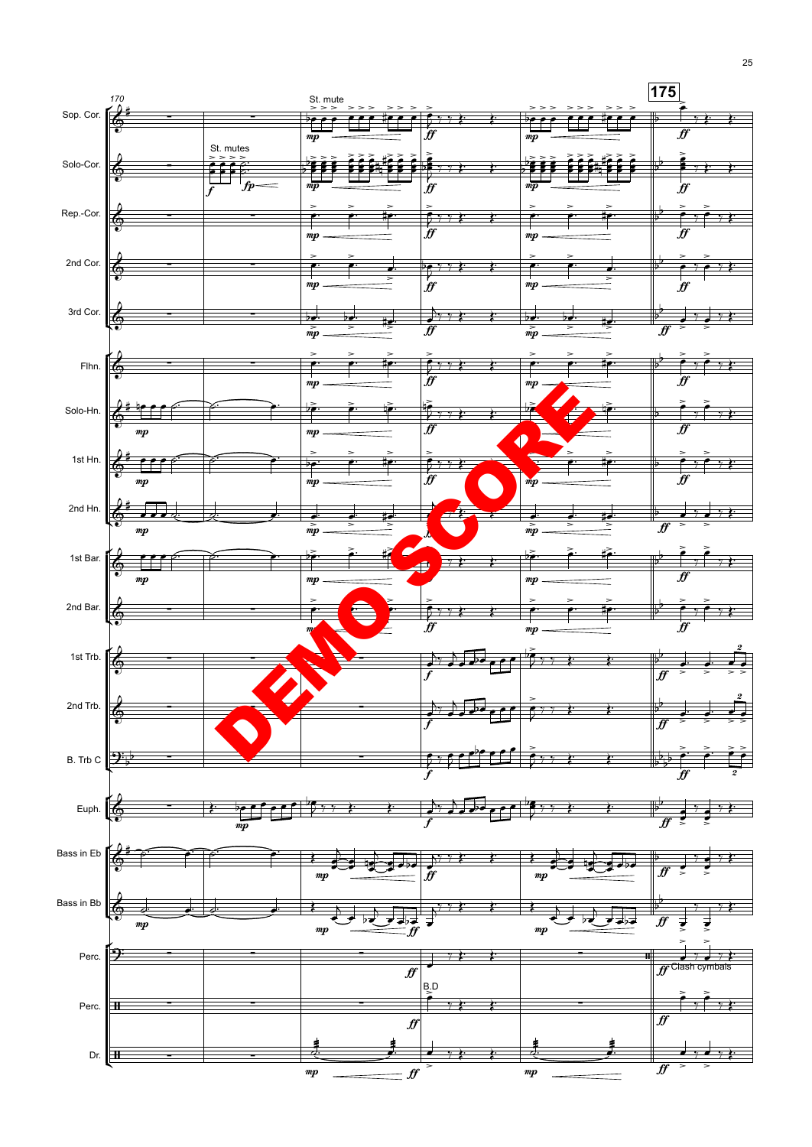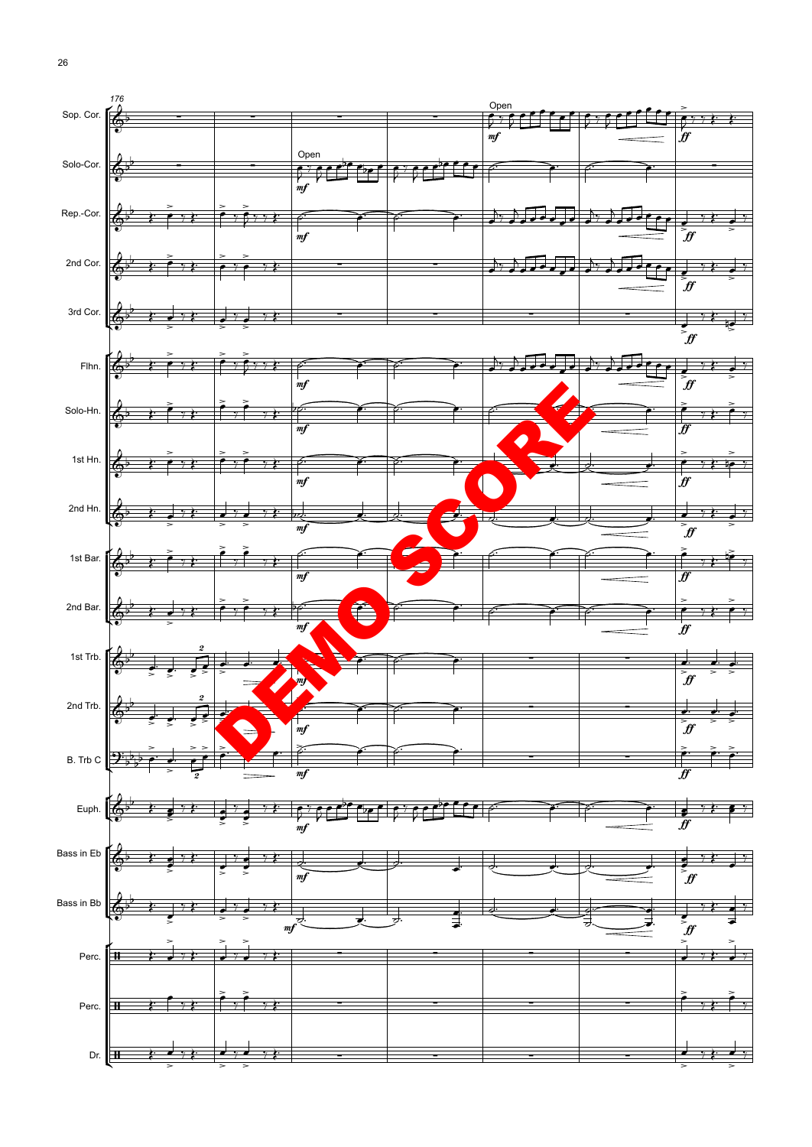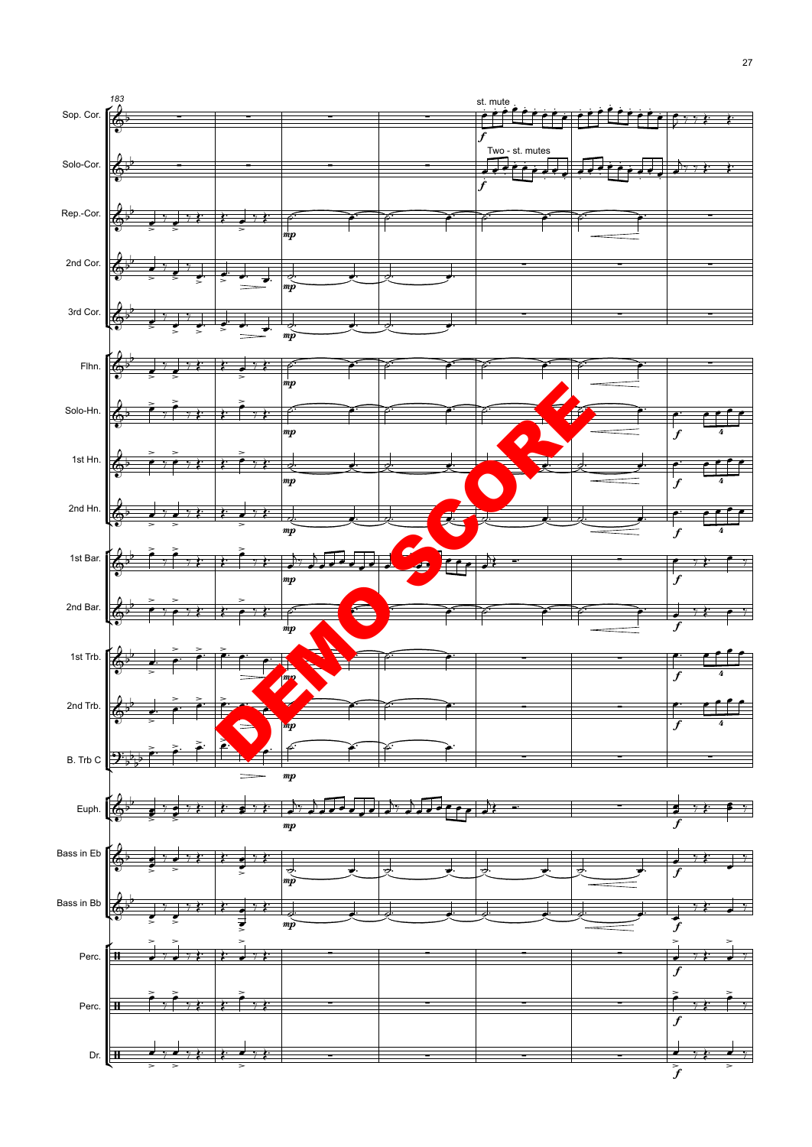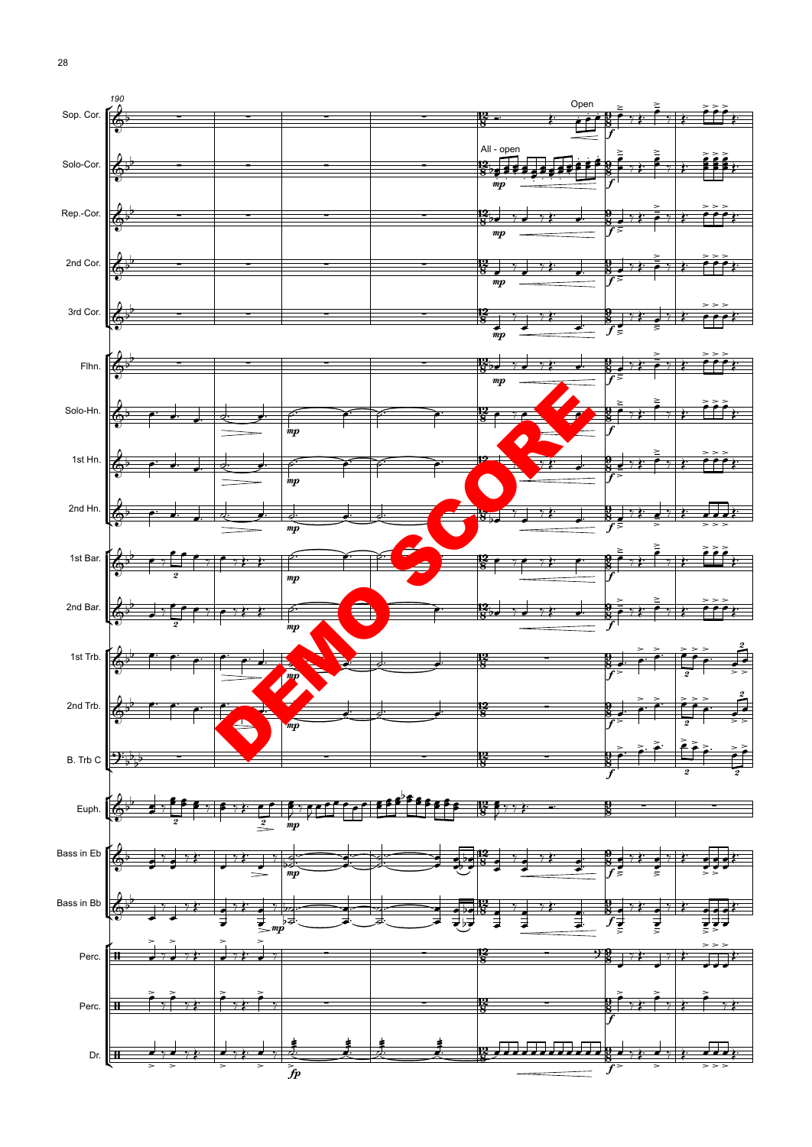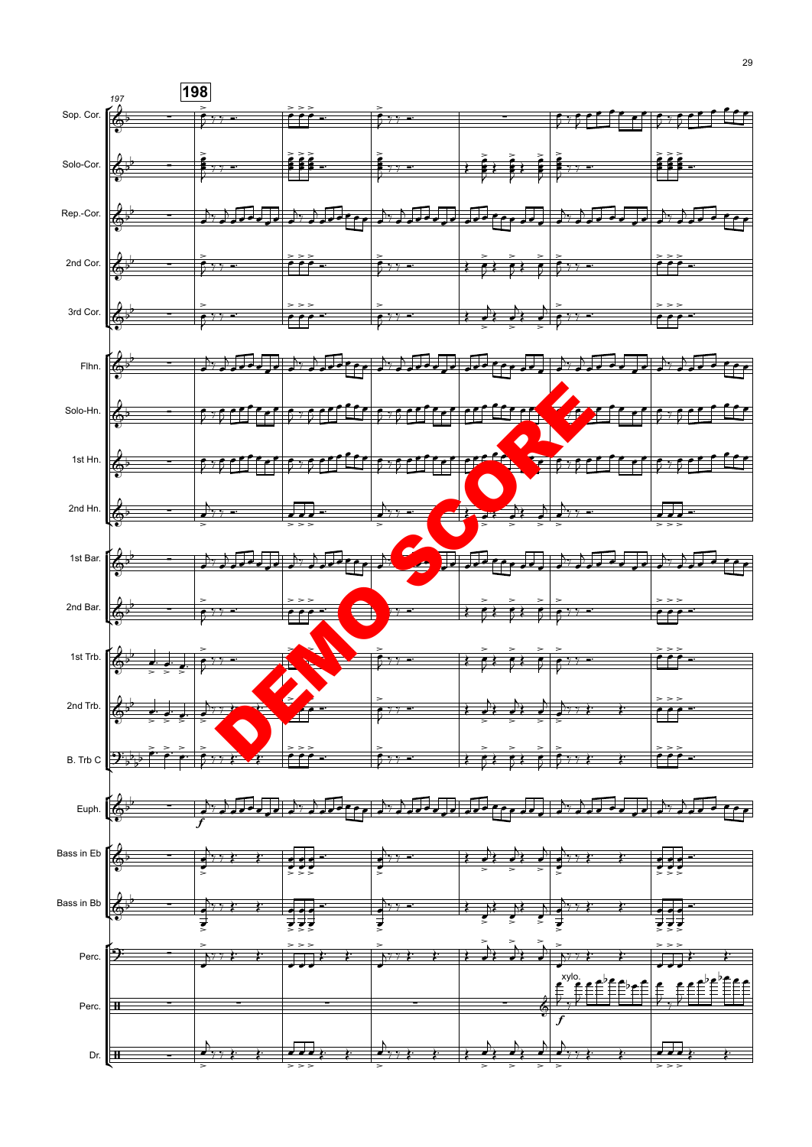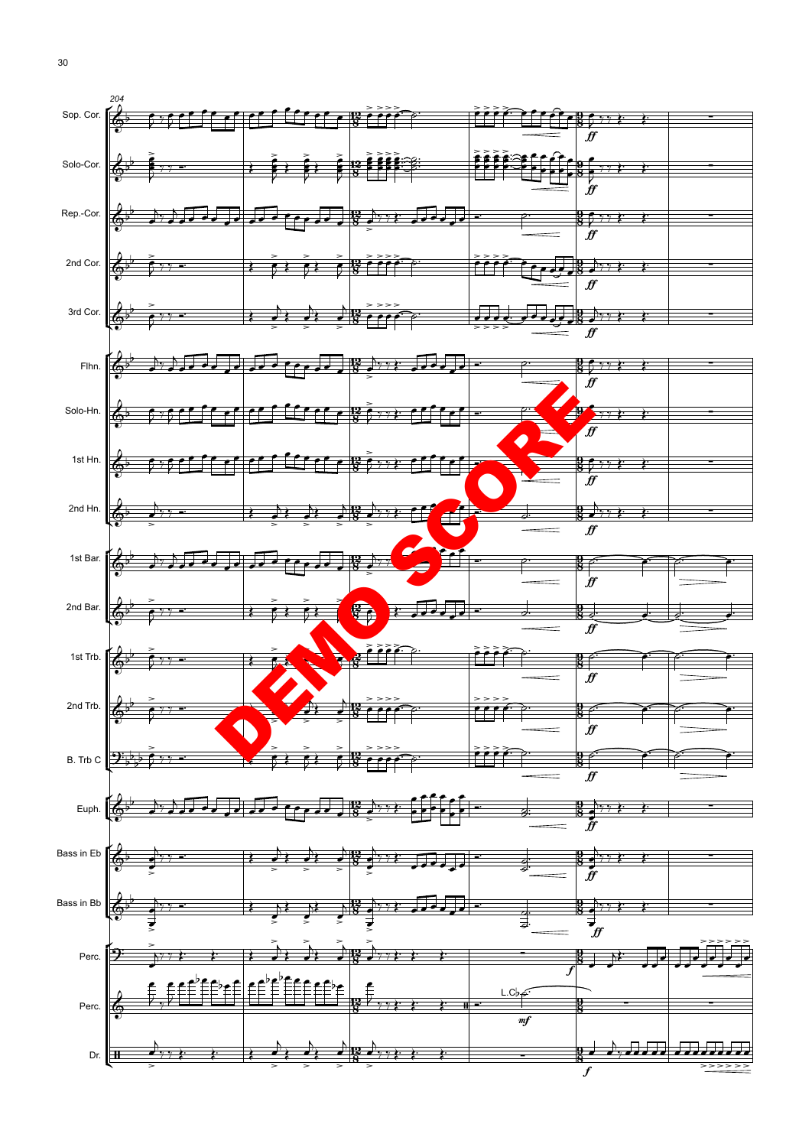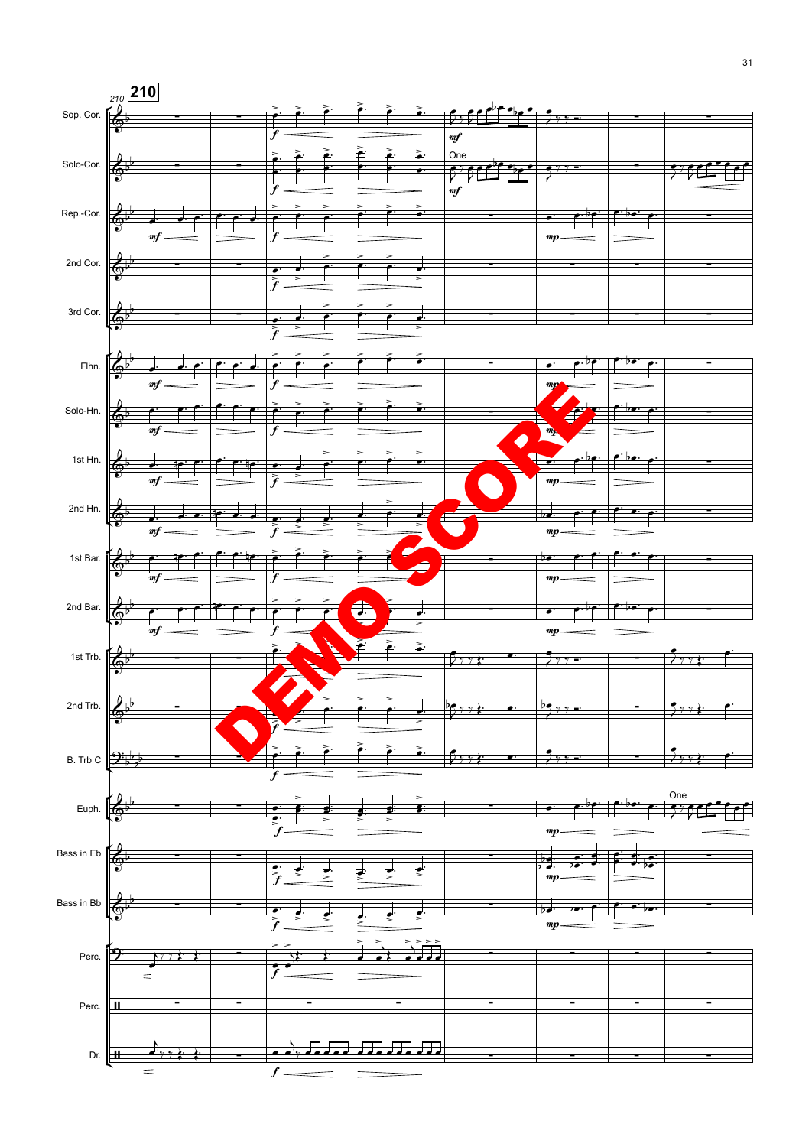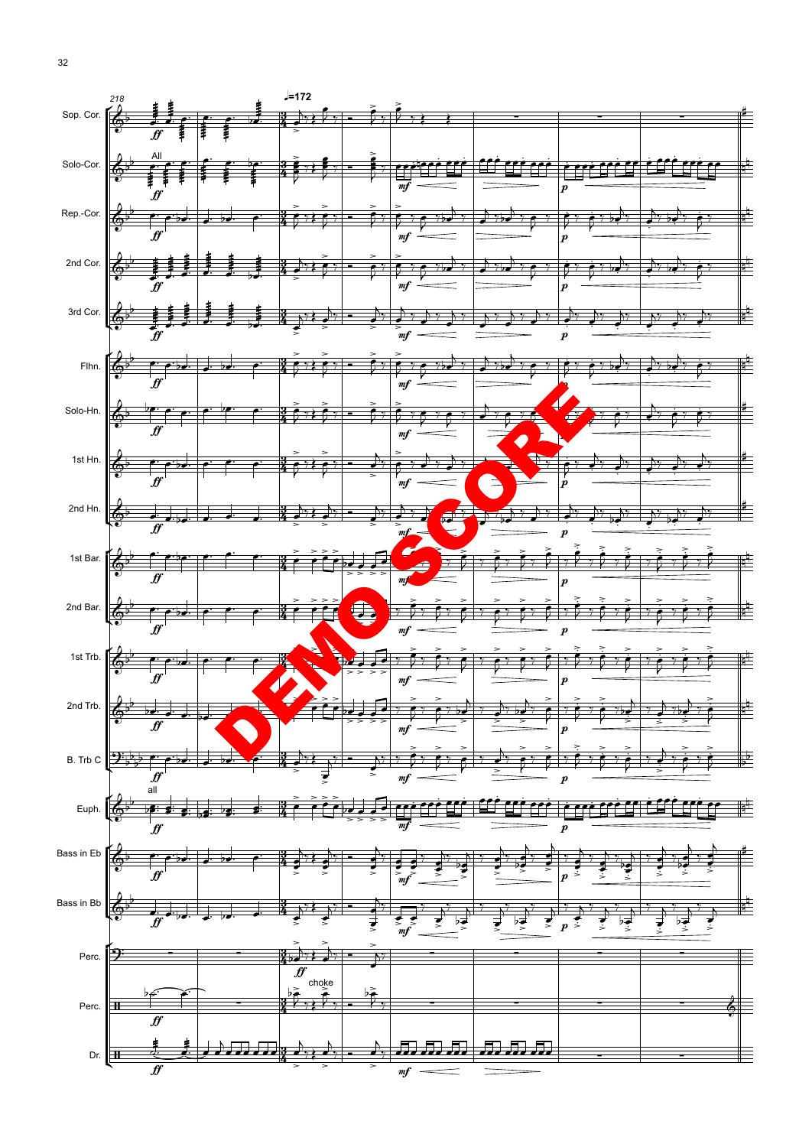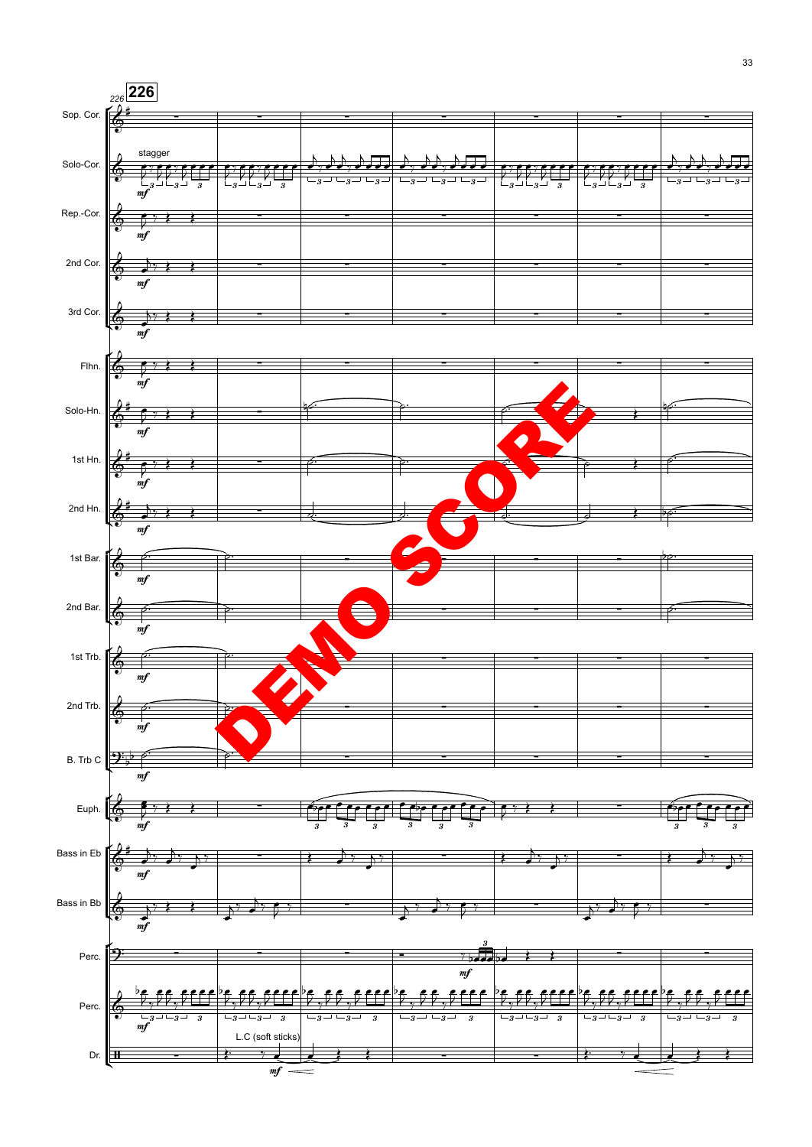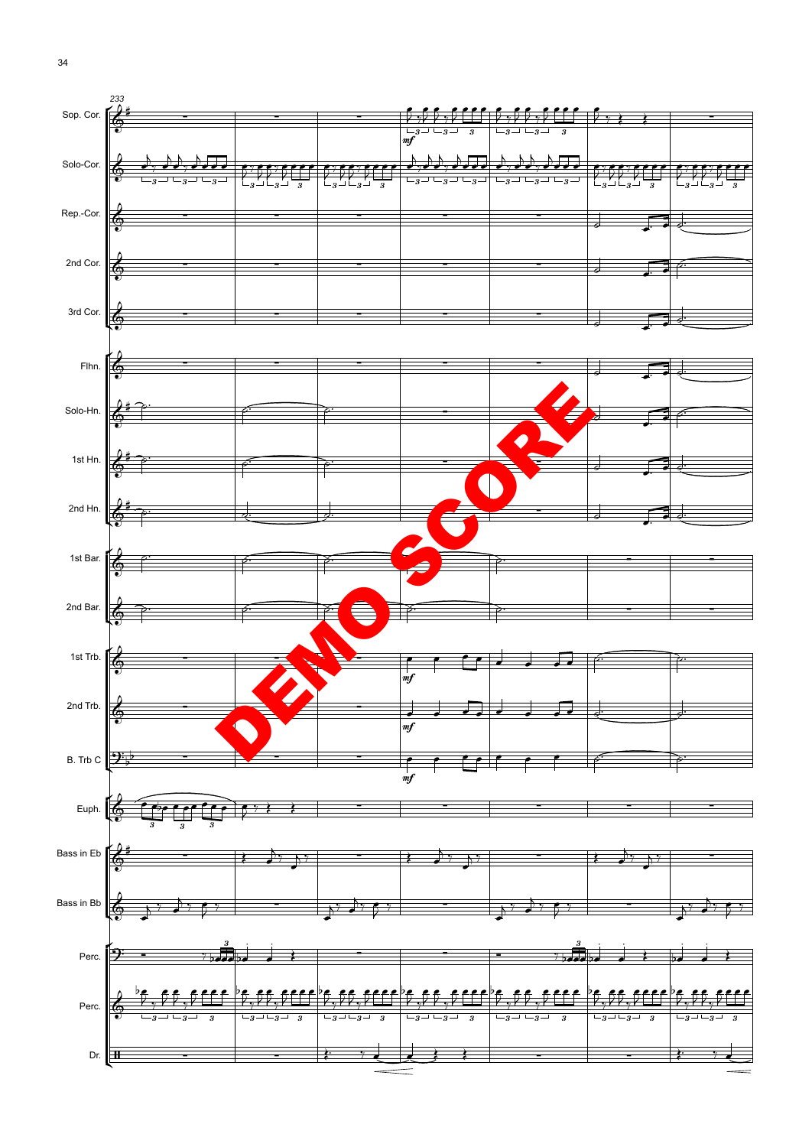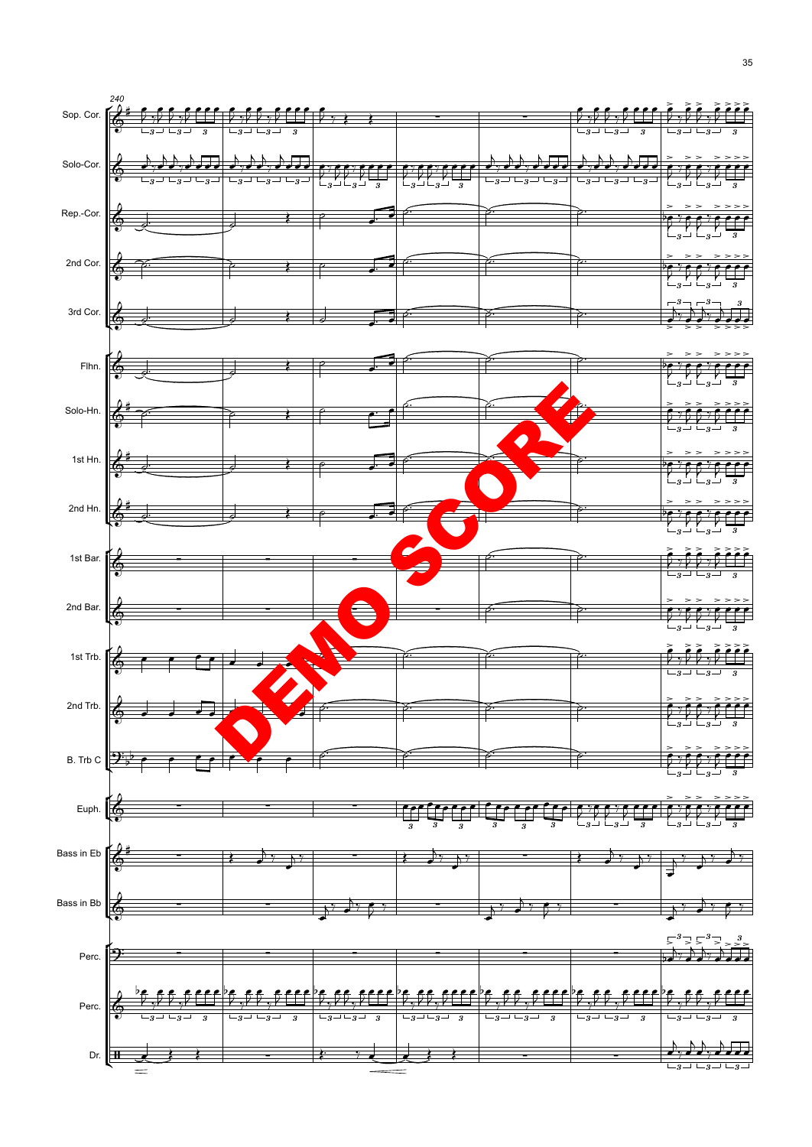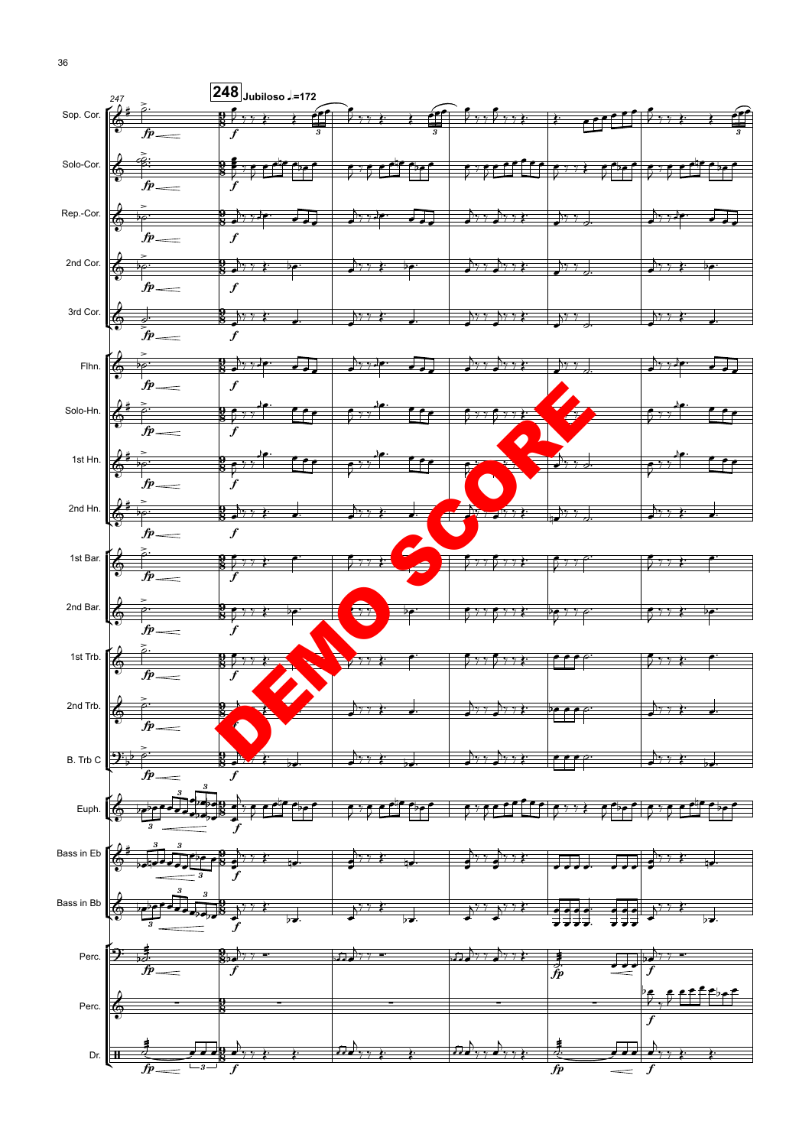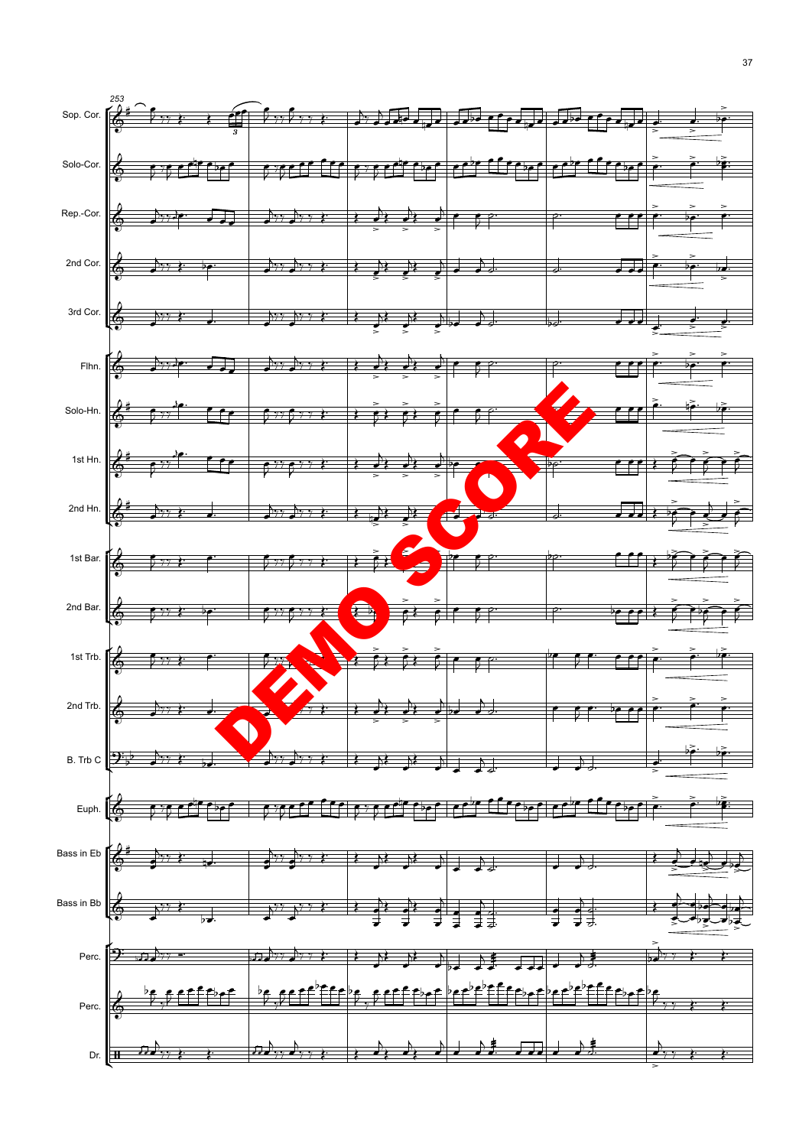